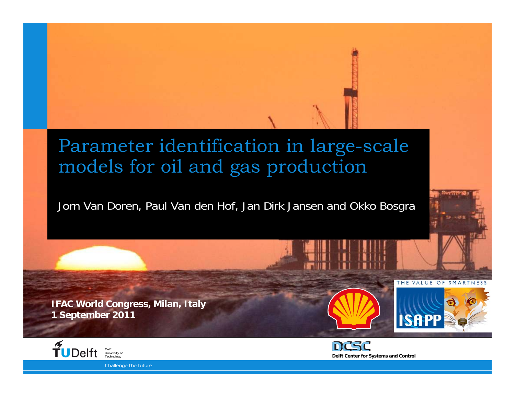#### Parameter identification in large-scale models for oil and gas production

#### Jorn Van Doren, Paul Van den Hof, Jan Dirk Jansen and Okko Bosgra

**IFAC World Congress, Milan, Italy 1 September 2011**





THE VALUE

**ISAPP** 

 $\bigcap$  F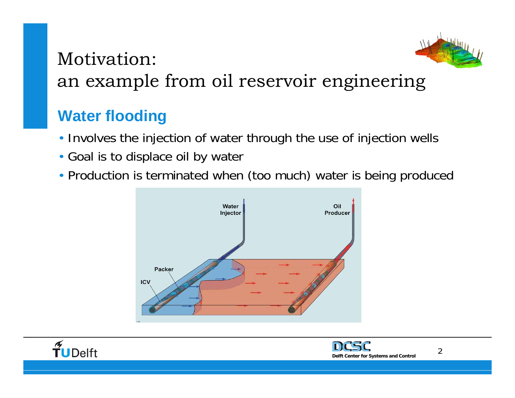

#### Motivation:an example from oil reservoir engineering

#### **Water flooding**

- Involves the injection of water through the use of injection wells
- Goal is to displace oil by water
- Production is terminated when (too much) water is being produced





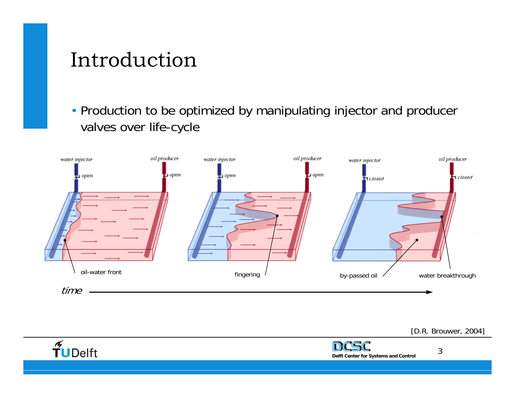### Introduction

• Production to be optimized by manipulating injector and producer valves over life-cycle



[D.R. Brouwer, 2004]

3

**Delft Center for Systems and Control**

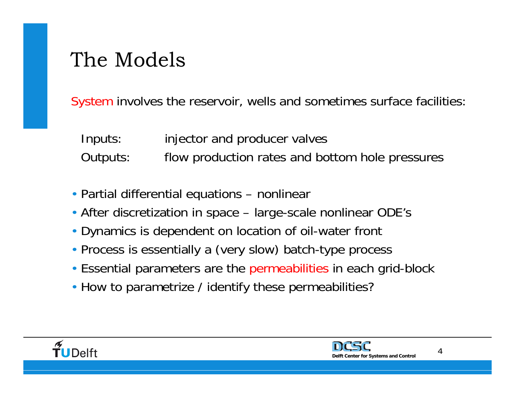## The Models

System involves the reservoir, wells and sometimes surface facilities:

- Inputs: injector and producer valves
- Outputs: flow production rates and bottom hole pressures
- Partial differential equations nonlinear
- After discretization in space large-scale nonlinear ODE's
- Dynamics is dependent on location of oil-water front
- Process is essentially a (very slow) batch-type process
- Essential parameters are the permeabilities in each grid-block
- How to parametrize / identify these permeabilities?



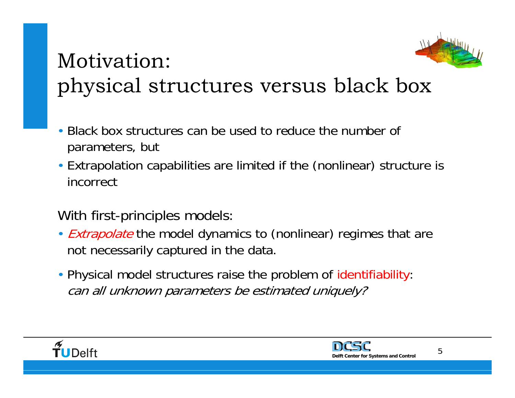

## Motivation: physical structures versus black box

- Black box structures can be used to reduce the number of parameters, but
- Extrapolation capabilities are limited if the (nonlinear) structure is incorrect
- With first-principles models:
- *Extrapolate* the model dynamics to (nonlinear) regimes that are not necessarily captured in the data.
- Physical model structures raise the problem of identifiability: can all unknown parameters be estimated uniquely?



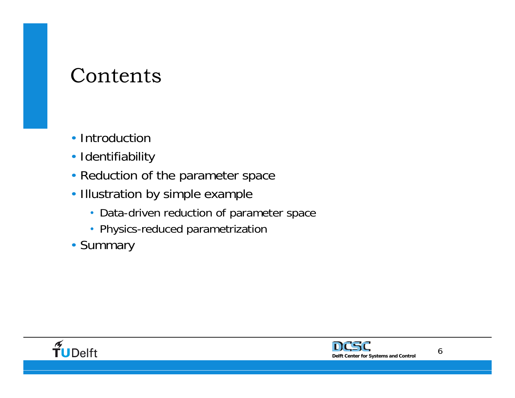### Contents

- Introduction
- Identifiability
- Reduction of the parameter space
- Illustration by simple example
	- Data-driven reduction of parameter space
	- Physics-reduced parametrization
- Summary



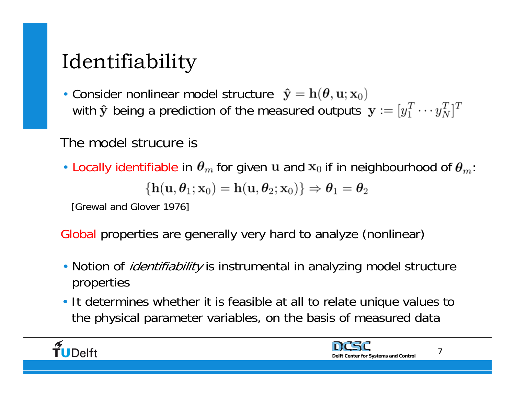# Identifiability

• Consider nonlinear model structure with  $\hat{\mathbf{y}}$  being a prediction of the measured outputs  $\mathbf{y} := [y_1^T \cdots y_N^T]^T$ 

#### The model strucure is

• Locally identifiable in  $\theta_m$  for given u and  $x_0$  if in neighbourhood of  $\theta_m$ :  $\{h(\mathbf{u},\theta_1;\mathbf{x}_0)=h(\mathbf{u},\theta_2;\mathbf{x}_0)\}\Rightarrow\boldsymbol{\theta}_1=\boldsymbol{\theta}_2$ 

[Grewal and Glover 1976]

Global properties are generally very hard to analyze (nonlinear)

- Notion of *identifiability* is instrumental in analyzing model structure properties
- It determines whether it is feasible at all to relate unique values to the physical parameter variables, on the basis of measured data



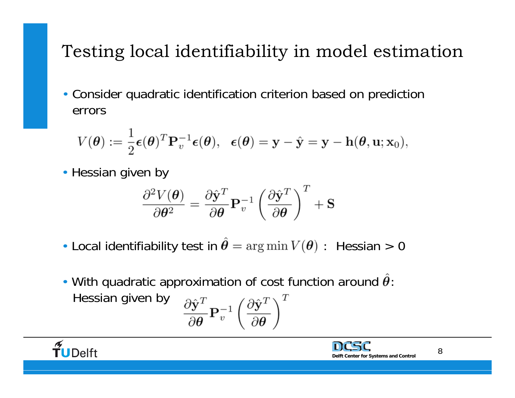### Testing local identifiability in model estimation

• Consider quadratic identification criterion based on prediction errors

$$
V(\boldsymbol{\theta}) := \frac{1}{2} \boldsymbol{\epsilon}(\boldsymbol{\theta})^T \mathbf{P}_v^{-1} \boldsymbol{\epsilon}(\boldsymbol{\theta}), \ \ \boldsymbol{\epsilon}(\boldsymbol{\theta}) = \mathbf{y} - \hat{\mathbf{y}} = \mathbf{y} - \mathbf{h}(\boldsymbol{\theta}, \mathbf{u}; \mathbf{x}_0),
$$

• Hessian given by

$$
\frac{\partial^2 V(\boldsymbol{\theta})}{\partial \boldsymbol{\theta}^2} = \frac{\partial \hat{\textbf{y}}^T}{\partial \boldsymbol{\theta}} \mathbf{P}_v^{-1} \left( \frac{\partial \hat{\textbf{y}}^T}{\partial \boldsymbol{\theta}} \right)^T + \mathbf{S}
$$

- Local identifiability test in  $\hat{\theta} = \arg \min V(\theta)$ : Hessian > 0
- With quadratic approximation of cost function around  $\hat{\theta}$ : Hessian given by  $\frac{\partial \hat{\mathbf{y}}^T}{\partial \boldsymbol{\theta}} \mathbf{P}_v^{-1} \left( \frac{\partial \hat{\mathbf{y}}^T}{\partial \boldsymbol{\theta}} \right)^T$

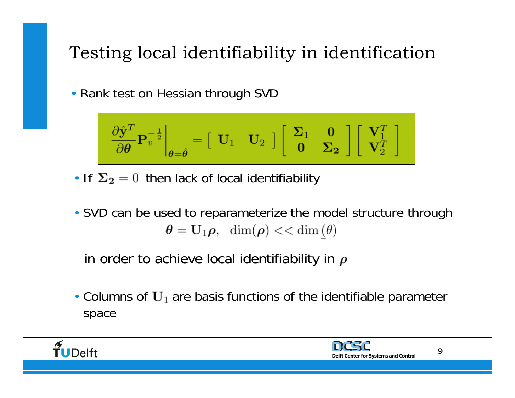### Testing local identifiability in identification

• Rank test on Hessian through SVD

$$
\left.\frac{\partial \hat{\mathbf{y}}^T}{\partial \theta} \mathbf{P}_v^{-\frac{1}{2}}\right|_{\theta=\hat{\theta}} = \begin{bmatrix} \mathbf{U}_1 & \mathbf{U}_2 \end{bmatrix} \begin{bmatrix} \mathbf{\Sigma}_1 & \mathbf{0} \\ \mathbf{0} & \mathbf{\Sigma}_2 \end{bmatrix} \begin{bmatrix} \mathbf{V}_1^T \\ \mathbf{V}_2^T \end{bmatrix}
$$

- If  $\Sigma_2 = 0$  then lack of local identifiability
- SVD can be used to reparameterize the model structure through  $\theta = \mathbf{U}_1 \rho$ , dim $(\rho)$  << dim $(\theta)$

in order to achieve local identifiability in  $\rho$ 

• Columns of  $U_1$  are basis functions of the identifiable parameter space



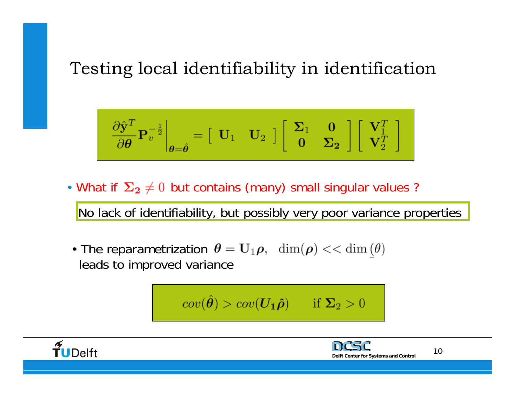#### Testing local identifiability in identification

$$
\left.\frac{\partial \hat{\mathbf{y}}^T}{\partial \theta} \mathbf{P}_v^{-\frac{1}{2}}\right|_{\theta = \hat{\theta}} = \begin{bmatrix} \mathbf{U}_1 & \mathbf{U}_2 \end{bmatrix} \begin{bmatrix} \mathbf{\Sigma}_1 & \mathbf{0} \\ \mathbf{0} & \mathbf{\Sigma}_2 \end{bmatrix} \begin{bmatrix} \mathbf{V}_1^T \\ \mathbf{V}_2^T \end{bmatrix}
$$

• What if  $\Sigma_2 \neq 0$  but contains (many) small singular values ?

No lack of identifiability, but possibly very poor variance properties

• The reparametrization  $\theta = U_1 \rho$ ,  $\dim(\rho) << \dim(\theta)$ leads to improved variance

$$
cov(\hat{\theta}) > cov(\boldsymbol{U_1\hat{\rho}}) \quad \text{if } \boldsymbol{\Sigma_2} > 0
$$



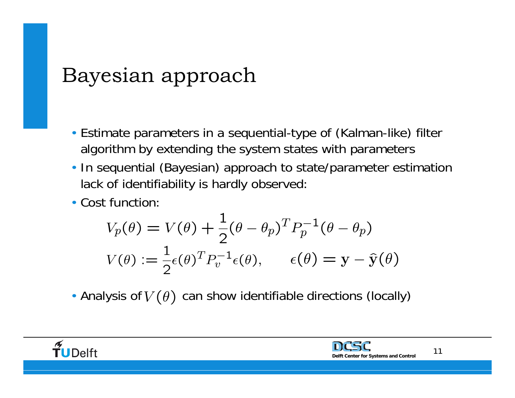## Bayesian approach

- Estimate parameters in a sequential-type of (Kalman-like) filter algorithm by extending the system states with parameters
- In sequential (Bayesian) approach to state/parameter estimation lack of identifiability is hardly observed:
- Cost function:

$$
V_p(\theta) = V(\theta) + \frac{1}{2}(\theta - \theta_p)^T P_p^{-1}(\theta - \theta_p)
$$
  

$$
V(\theta) := \frac{1}{2}\epsilon(\theta)^T P_v^{-1}\epsilon(\theta), \qquad \epsilon(\theta) = \mathbf{y} - \hat{\mathbf{y}}(\theta)
$$

• Analysis of  $V(\theta)$  can show identifiable directions (locally)

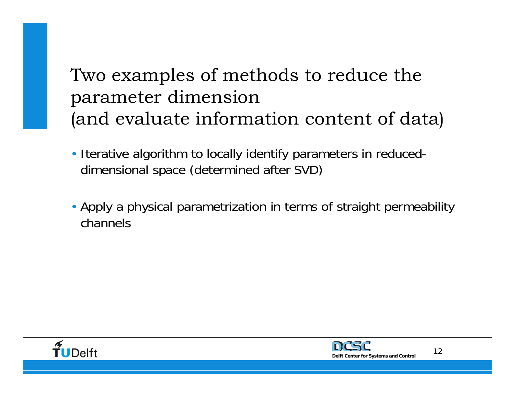### Two examples of methods to reduce the parameter dimension (and evaluate information content of data)

- Iterative algorithm to locally identify parameters in reduceddimensional space (determined after SVD)
- Apply a physical parametrization in terms of straight permeability channels



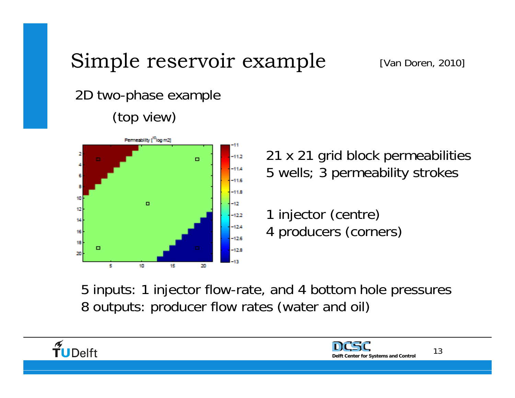#### 2D two-phase example (top view)



21 x 21 grid block permeabilities 5 wells; 3 permeability strokes

1 injector (centre) 4 producers (corners)

5 inputs: 1 injector flow-rate, and 4 bottom hole pressures 8 outputs: producer flow rates (water and oil)

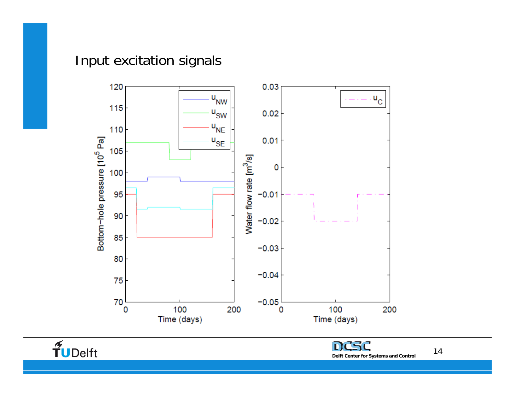#### Input excitation signals





14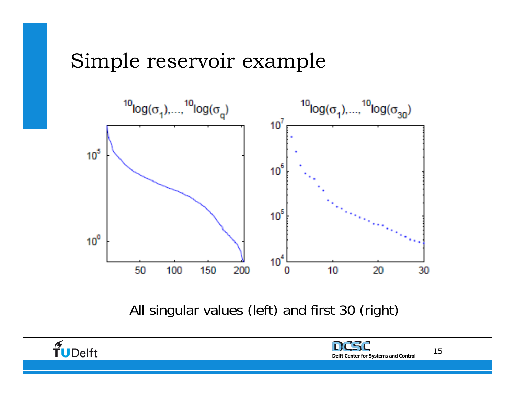

All singular values (left) and first 30 (right)

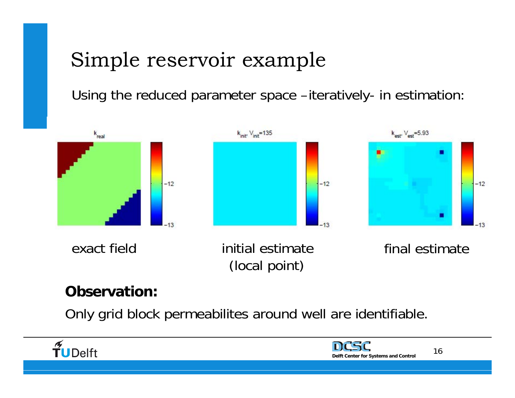Using the reduced parameter space –iteratively- in estimation:



#### **Observation:**

Only grid block permeabilites around well are identifiable.



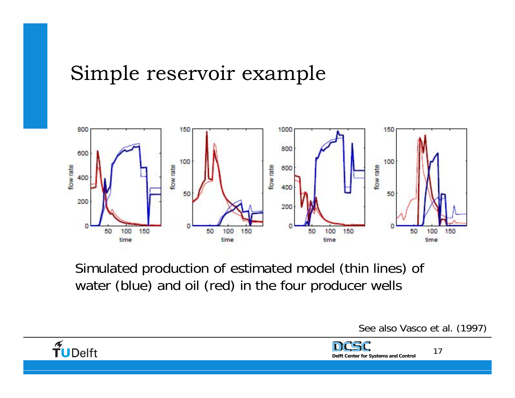

Simulated production of estimated model (thin lines) of water (blue) and oil (red) in the four producer wells

See also Vasco et al. (1997)

**Delft Center for Systems and Control**

17

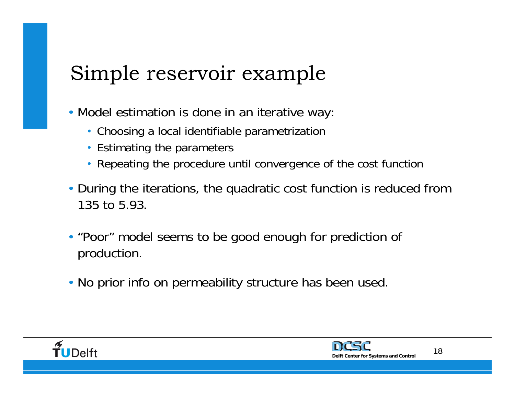- Model estimation is done in an iterative way:
	- Choosing a local identifiable parametrization
	- Estimating the parameters
	- Repeating the procedure until convergence of the cost function
- During the iterations, the quadratic cost function is reduced from 135 to 5.93.
- "Poor" model seems to be good enough for prediction of production.
- No prior info on permeability structure has been used.



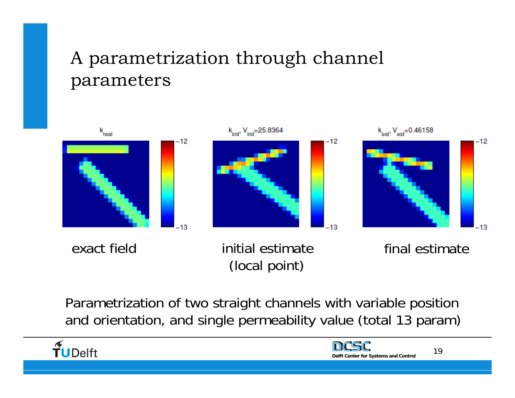### A parametrization through channel parameters



Parametrization of two straight channels with variable position and orientation, and single permeability value (total 13 param)



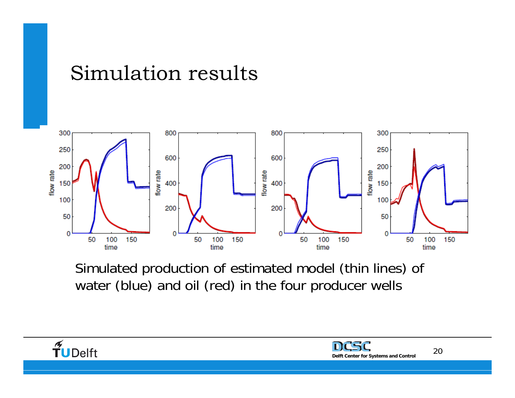## Simulation results



Simulated production of estimated model (thin lines) of water (blue) and oil (red) in the four producer wells



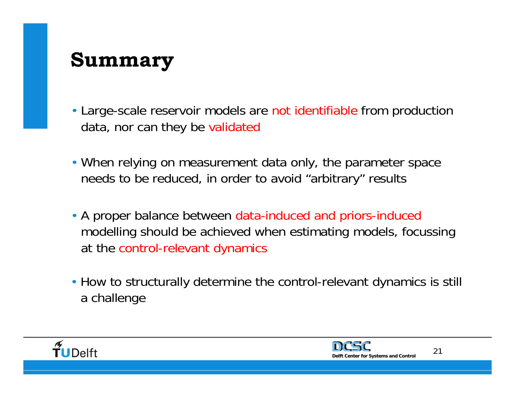## **Summary**

- Large-scale reservoir models are not identifiable from production data, nor can they be validated
- When relying on measurement data only, the parameter space needs to be reduced, in order to avoid "arbitrary" results
- A proper balance between data-induced and priors-induced modelling should be achieved when estimating models, focussing at the control-relevant dynamics
- How to structurally determine the control-relevant dynamics is still a challenge